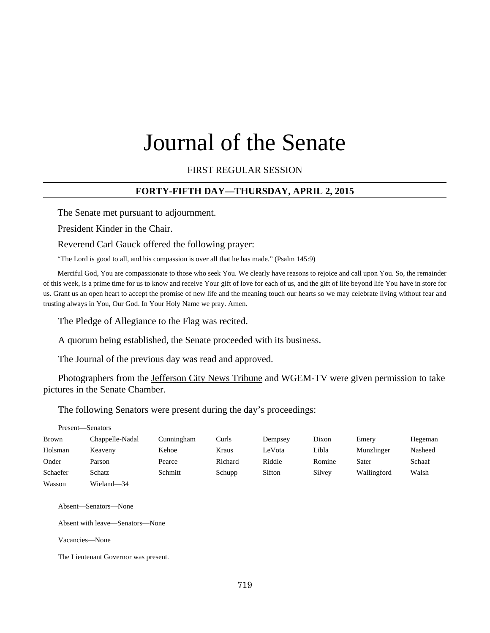## FIRST REGULAR SESSION

## **FORTY-FIFTH DAY—THURSDAY, APRIL 2, 2015**

The Senate met pursuant to adjournment.

President Kinder in the Chair.

Reverend Carl Gauck offered the following prayer:

"The Lord is good to all, and his compassion is over all that he has made." (Psalm 145:9)

Merciful God, You are compassionate to those who seek You. We clearly have reasons to rejoice and call upon You. So, the remainder of this week, is a prime time for us to know and receive Your gift of love for each of us, and the gift of life beyond life You have in store for us. Grant us an open heart to accept the promise of new life and the meaning touch our hearts so we may celebrate living without fear and trusting always in You, Our God. In Your Holy Name we pray. Amen.

The Pledge of Allegiance to the Flag was recited.

A quorum being established, the Senate proceeded with its business.

The Journal of the previous day was read and approved.

Photographers from the Jefferson City News Tribune and WGEM-TV were given permission to take pictures in the Senate Chamber.

The following Senators were present during the day's proceedings:

| Present—Senators |                 |            |         |         |        |             |         |
|------------------|-----------------|------------|---------|---------|--------|-------------|---------|
| Brown            | Chappelle-Nadal | Cunningham | Curls   | Dempsey | Dixon  | Emery       | Hegeman |
| Holsman          | Keaveny         | Kehoe      | Kraus   | LeVota  | Libla  | Munzlinger  | Nasheed |
| Onder            | Parson          | Pearce     | Richard | Riddle  | Romine | Sater       | Schaaf  |
| Schaefer         | Schatz          | Schmitt    | Schupp  | Sifton  | Silvey | Wallingford | Walsh   |
| Wasson           | Wieland-34      |            |         |         |        |             |         |

Absent—Senators—None

Absent with leave—Senators—None

Vacancies—None

The Lieutenant Governor was present.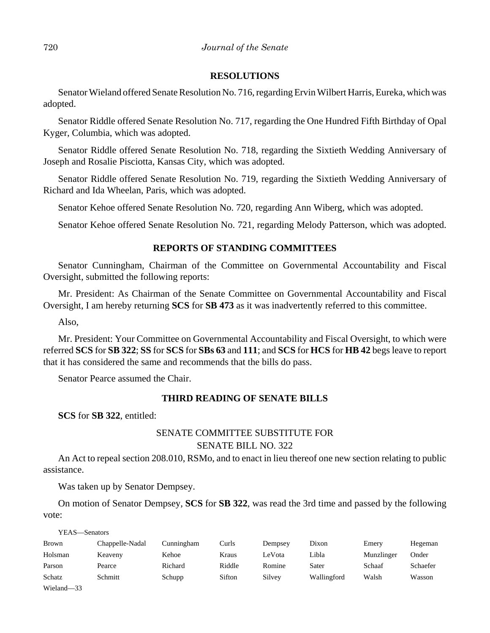## **RESOLUTIONS**

Senator Wieland offered Senate Resolution No. 716, regarding Ervin Wilbert Harris, Eureka, which was adopted.

Senator Riddle offered Senate Resolution No. 717, regarding the One Hundred Fifth Birthday of Opal Kyger, Columbia, which was adopted.

Senator Riddle offered Senate Resolution No. 718, regarding the Sixtieth Wedding Anniversary of Joseph and Rosalie Pisciotta, Kansas City, which was adopted.

Senator Riddle offered Senate Resolution No. 719, regarding the Sixtieth Wedding Anniversary of Richard and Ida Wheelan, Paris, which was adopted.

Senator Kehoe offered Senate Resolution No. 720, regarding Ann Wiberg, which was adopted.

Senator Kehoe offered Senate Resolution No. 721, regarding Melody Patterson, which was adopted.

# **REPORTS OF STANDING COMMITTEES**

Senator Cunningham, Chairman of the Committee on Governmental Accountability and Fiscal Oversight, submitted the following reports:

Mr. President: As Chairman of the Senate Committee on Governmental Accountability and Fiscal Oversight, I am hereby returning **SCS** for **SB 473** as it was inadvertently referred to this committee.

Also,

Mr. President: Your Committee on Governmental Accountability and Fiscal Oversight, to which were referred **SCS** for **SB 322**; **SS** for **SCS** for **SBs 63** and **111**; and **SCS** for **HCS** for **HB 42** begs leave to report that it has considered the same and recommends that the bills do pass.

Senator Pearce assumed the Chair.

### **THIRD READING OF SENATE BILLS**

**SCS** for **SB 322**, entitled:

# SENATE COMMITTEE SUBSTITUTE FOR

## SENATE BILL NO. 322

An Act to repeal section 208.010, RSMo, and to enact in lieu thereof one new section relating to public assistance.

Was taken up by Senator Dempsey.

On motion of Senator Dempsey, **SCS** for **SB 322**, was read the 3rd time and passed by the following vote:

YEAS—Senators

| Brown      | Chappelle-Nadal | Cunningham | Curls  | Dempsey | Dixon       | Emery      | Hegeman  |
|------------|-----------------|------------|--------|---------|-------------|------------|----------|
| Holsman    | Keaveny         | Kehoe      | Kraus  | LeVota  | Libla       | Munzlinger | Onder    |
| Parson     | Pearce          | Richard    | Riddle | Romine  | Sater       | Schaaf     | Schaefer |
| Schatz     | Schmitt         | Schupp     | Sifton | Silvey  | Wallingford | Walsh      | Wasson   |
| Wieland-33 |                 |            |        |         |             |            |          |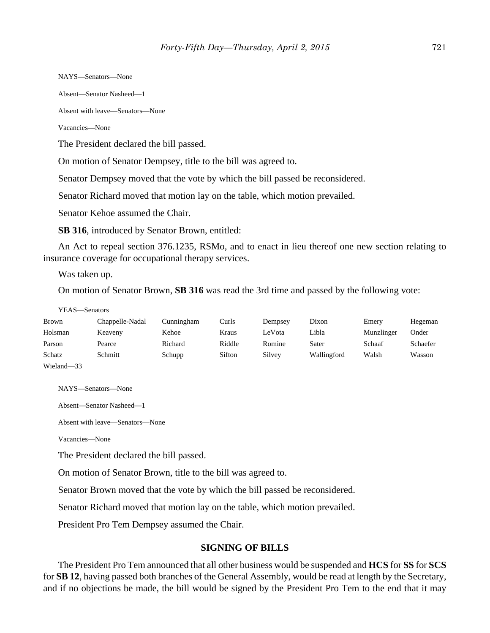NAYS—Senators—None

Absent—Senator Nasheed—1

Absent with leave—Senators—None

Vacancies—None

The President declared the bill passed.

On motion of Senator Dempsey, title to the bill was agreed to.

Senator Dempsey moved that the vote by which the bill passed be reconsidered.

Senator Richard moved that motion lay on the table, which motion prevailed.

Senator Kehoe assumed the Chair.

**SB 316**, introduced by Senator Brown, entitled:

An Act to repeal section 376.1235, RSMo, and to enact in lieu thereof one new section relating to insurance coverage for occupational therapy services.

Was taken up.

On motion of Senator Brown, **SB 316** was read the 3rd time and passed by the following vote:

#### YEAS—Senators

| <b>Brown</b> | Chappelle-Nadal | Cunningham | Curls  | Dempsey | Dixon       | Emery      | Hegeman  |
|--------------|-----------------|------------|--------|---------|-------------|------------|----------|
| Holsman      | Keaveny         | Kehoe      | Kraus  | LeVota  | Libla       | Munzlinger | Onder    |
| Parson       | Pearce          | Richard    | Riddle | Romine  | Sater       | Schaaf     | Schaefer |
| Schatz       | Schmitt         | Schupp     | Sifton | Silvey  | Wallingford | Walsh      | Wasson   |
| Wieland-33   |                 |            |        |         |             |            |          |

NAYS—Senators—None

Absent—Senator Nasheed—1

Absent with leave—Senators—None

Vacancies—None

The President declared the bill passed.

On motion of Senator Brown, title to the bill was agreed to.

Senator Brown moved that the vote by which the bill passed be reconsidered.

Senator Richard moved that motion lay on the table, which motion prevailed.

President Pro Tem Dempsey assumed the Chair.

## **SIGNING OF BILLS**

The President Pro Tem announced that all other business would be suspended and **HCS** for **SS** for **SCS** for **SB 12**, having passed both branches of the General Assembly, would be read at length by the Secretary, and if no objections be made, the bill would be signed by the President Pro Tem to the end that it may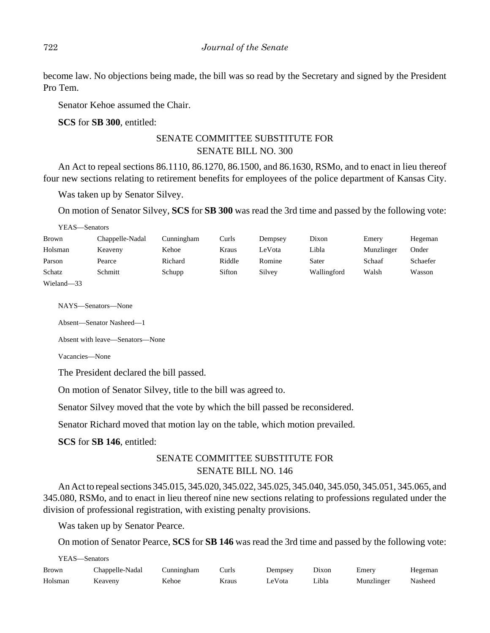become law. No objections being made, the bill was so read by the Secretary and signed by the President Pro Tem.

Senator Kehoe assumed the Chair.

**SCS** for **SB 300**, entitled:

# SENATE COMMITTEE SUBSTITUTE FOR SENATE BILL NO. 300

An Act to repeal sections 86.1110, 86.1270, 86.1500, and 86.1630, RSMo, and to enact in lieu thereof four new sections relating to retirement benefits for employees of the police department of Kansas City.

Was taken up by Senator Silvey.

On motion of Senator Silvey, **SCS** for **SB 300** was read the 3rd time and passed by the following vote:

| YEAS—Senators |                 |            |        |         |             |            |          |
|---------------|-----------------|------------|--------|---------|-------------|------------|----------|
| Brown         | Chappelle-Nadal | Cunningham | Curls  | Dempsey | Dixon       | Emery      | Hegeman  |
| Holsman       | Keaveny         | Kehoe      | Kraus  | LeVota  | Libla       | Munzlinger | Onder    |
| Parson        | Pearce          | Richard    | Riddle | Romine  | Sater       | Schaaf     | Schaefer |
| Schatz        | Schmitt         | Schupp     | Sifton | Silvey  | Wallingford | Walsh      | Wasson   |
| Wieland-33    |                 |            |        |         |             |            |          |

NAYS—Senators—None

Absent—Senator Nasheed—1

Absent with leave—Senators—None

Vacancies—None

The President declared the bill passed.

On motion of Senator Silvey, title to the bill was agreed to.

Senator Silvey moved that the vote by which the bill passed be reconsidered.

Senator Richard moved that motion lay on the table, which motion prevailed.

**SCS** for **SB 146**, entitled:

# SENATE COMMITTEE SUBSTITUTE FOR SENATE BILL NO. 146

An Act to repeal sections 345.015, 345.020, 345.022, 345.025, 345.040, 345.050, 345.051, 345.065, and 345.080, RSMo, and to enact in lieu thereof nine new sections relating to professions regulated under the division of professional registration, with existing penalty provisions.

Was taken up by Senator Pearce.

On motion of Senator Pearce, **SCS** for **SB 146** was read the 3rd time and passed by the following vote:

| YEAS—Senators |                 |            |       |         |       |            |         |  |  |
|---------------|-----------------|------------|-------|---------|-------|------------|---------|--|--|
| <b>Brown</b>  | Chappelle-Nadal | Cunningham | Curls | Dempsey | Dixon | Emerv      | Hegeman |  |  |
| Holsman       | Keaveny         | Kehoe      | Kraus | LeVota  | Libla | Munzlinger | Nasheed |  |  |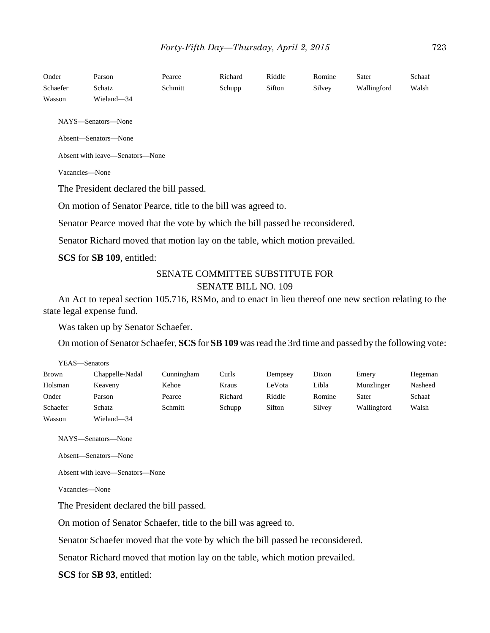| Onder<br>Schaefer<br>Wasson     | Parson<br>Schatz<br>Wieland-34                                               | Pearce<br>Schmitt | Richard<br>Schupp | Riddle<br>Sifton | Romine<br>Silvey | Sater<br>Wallingford | Schaaf<br>Walsh |  |
|---------------------------------|------------------------------------------------------------------------------|-------------------|-------------------|------------------|------------------|----------------------|-----------------|--|
|                                 | NAYS—Senators—None                                                           |                   |                   |                  |                  |                      |                 |  |
|                                 | Absent-Senators-None                                                         |                   |                   |                  |                  |                      |                 |  |
| Absent with leave—Senators—None |                                                                              |                   |                   |                  |                  |                      |                 |  |
| Vacancies-None                  |                                                                              |                   |                   |                  |                  |                      |                 |  |
|                                 | The President declared the bill passed.                                      |                   |                   |                  |                  |                      |                 |  |
|                                 | On motion of Senator Pearce, title to the bill was agreed to.                |                   |                   |                  |                  |                      |                 |  |
|                                 | Senator Pearce moved that the vote by which the bill passed be reconsidered. |                   |                   |                  |                  |                      |                 |  |
|                                 | Senator Richard moved that motion lay on the table, which motion prevailed.  |                   |                   |                  |                  |                      |                 |  |
|                                 | SCS for SB 109, entitled:                                                    |                   |                   |                  |                  |                      |                 |  |

# SENATE COMMITTEE SUBSTITUTE FOR SENATE BILL NO. 109

An Act to repeal section 105.716, RSMo, and to enact in lieu thereof one new section relating to the state legal expense fund.

Was taken up by Senator Schaefer.

On motion of Senator Schaefer, **SCS** for **SB 109** was read the 3rd time and passed by the following vote:

| YEAS—Senators |                 |            |         |         |        |             |         |  |  |
|---------------|-----------------|------------|---------|---------|--------|-------------|---------|--|--|
| <b>Brown</b>  | Chappelle-Nadal | Cunningham | Curls   | Dempsey | Dixon  | Emery       | Hegeman |  |  |
| Holsman       | Keaveny         | Kehoe      | Kraus   | LeVota  | Libla  | Munzlinger  | Nasheed |  |  |
| Onder         | Parson          | Pearce     | Richard | Riddle  | Romine | Sater       | Schaaf  |  |  |
| Schaefer      | Schatz          | Schmitt    | Schupp  | Sifton  | Silvey | Wallingford | Walsh   |  |  |
| Wasson        | Wieland-34      |            |         |         |        |             |         |  |  |

NAYS—Senators—None

Absent—Senators—None

Absent with leave—Senators—None

Vacancies—None

The President declared the bill passed.

On motion of Senator Schaefer, title to the bill was agreed to.

Senator Schaefer moved that the vote by which the bill passed be reconsidered.

Senator Richard moved that motion lay on the table, which motion prevailed.

**SCS** for **SB 93**, entitled: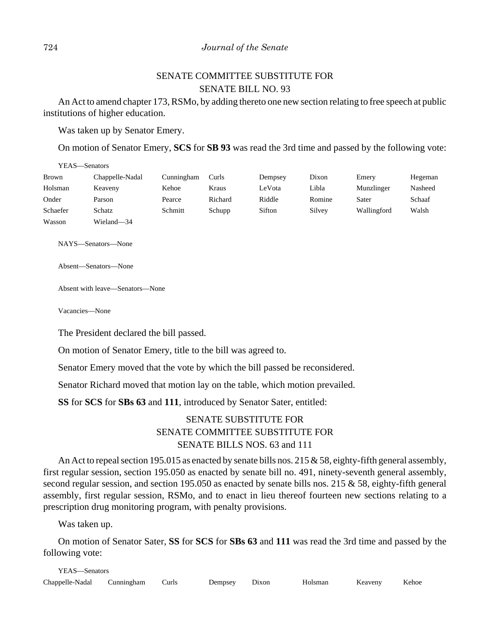# SENATE COMMITTEE SUBSTITUTE FOR SENATE BILL NO. 93

An Act to amend chapter 173, RSMo, by adding thereto one new section relating to free speech at public institutions of higher education.

Was taken up by Senator Emery.

On motion of Senator Emery, **SCS** for **SB 93** was read the 3rd time and passed by the following vote:

| YEAS—Senators |                 |            |         |         |        |             |         |  |  |
|---------------|-----------------|------------|---------|---------|--------|-------------|---------|--|--|
| Brown         | Chappelle-Nadal | Cunningham | Curls   | Dempsey | Dixon  | Emery       | Hegeman |  |  |
| Holsman       | Keaveny         | Kehoe      | Kraus   | LeVota  | Libla  | Munzlinger  | Nasheed |  |  |
| Onder         | Parson          | Pearce     | Richard | Riddle  | Romine | Sater       | Schaaf  |  |  |
| Schaefer      | Schatz          | Schmitt    | Schupp  | Sifton  | Silvey | Wallingford | Walsh   |  |  |
| Wasson        | Wieland-34      |            |         |         |        |             |         |  |  |

NAYS—Senators—None

Absent—Senators—None

Absent with leave—Senators—None

Vacancies—None

The President declared the bill passed.

On motion of Senator Emery, title to the bill was agreed to.

Senator Emery moved that the vote by which the bill passed be reconsidered.

Senator Richard moved that motion lay on the table, which motion prevailed.

**SS** for **SCS** for **SBs 63** and **111**, introduced by Senator Sater, entitled:

# SENATE SUBSTITUTE FOR SENATE COMMITTEE SUBSTITUTE FOR SENATE BILLS NOS. 63 and 111

An Act to repeal section 195.015 as enacted by senate bills nos. 215  $&$  58, eighty-fifth general assembly, first regular session, section 195.050 as enacted by senate bill no. 491, ninety-seventh general assembly, second regular session, and section 195.050 as enacted by senate bills nos. 215 & 58, eighty-fifth general assembly, first regular session, RSMo, and to enact in lieu thereof fourteen new sections relating to a prescription drug monitoring program, with penalty provisions.

Was taken up.

On motion of Senator Sater, **SS** for **SCS** for **SBs 63** and **111** was read the 3rd time and passed by the following vote: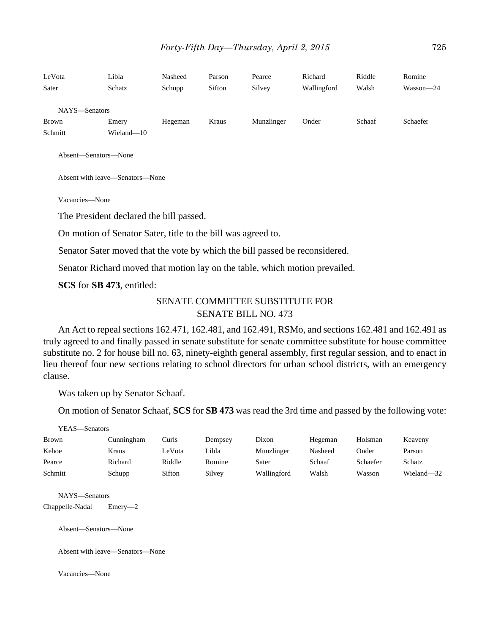| LeVota        | Libla      | Nasheed | Parson | Pearce     | Richard     | Riddle | Romine    |
|---------------|------------|---------|--------|------------|-------------|--------|-----------|
| Sater         | Schatz     | Schupp  | Sifton | Silvey     | Wallingford | Walsh  | Wasson-24 |
| NAYS-Senators |            |         |        |            |             |        |           |
| <b>Brown</b>  | Emery      | Hegeman | Kraus  | Munzlinger | Onder       | Schaaf | Schaefer  |
| Schmitt       | Wieland-10 |         |        |            |             |        |           |
|               |            |         |        |            |             |        |           |

Absent—Senators—None

Absent with leave—Senators—None

Vacancies—None

The President declared the bill passed.

On motion of Senator Sater, title to the bill was agreed to.

Senator Sater moved that the vote by which the bill passed be reconsidered.

Senator Richard moved that motion lay on the table, which motion prevailed.

**SCS** for **SB 473**, entitled:

# SENATE COMMITTEE SUBSTITUTE FOR SENATE BILL NO. 473

An Act to repeal sections 162.471, 162.481, and 162.491, RSMo, and sections 162.481 and 162.491 as truly agreed to and finally passed in senate substitute for senate committee substitute for house committee substitute no. 2 for house bill no. 63, ninety-eighth general assembly, first regular session, and to enact in lieu thereof four new sections relating to school directors for urban school districts, with an emergency clause.

Was taken up by Senator Schaaf.

On motion of Senator Schaaf, **SCS** for **SB 473** was read the 3rd time and passed by the following vote:

| YEAS—Senators |            |        |         |             |         |          |            |  |  |  |
|---------------|------------|--------|---------|-------------|---------|----------|------------|--|--|--|
| <b>Brown</b>  | Cunningham | Curls  | Dempsey | Dixon       | Hegeman | Holsman  | Keaveny    |  |  |  |
| Kehoe         | Kraus      | LeVota | Libla   | Munzlinger  | Nasheed | Onder    | Parson     |  |  |  |
| Pearce        | Richard    | Riddle | Romine  | Sater       | Schaaf  | Schaefer | Schatz     |  |  |  |
| Schmitt       | Schupp     | Sifton | Silvey  | Wallingford | Walsh   | Wasson   | Wieland—32 |  |  |  |

NAYS—Senators

Chappelle-Nadal Emery—2

Absent—Senators—None

Absent with leave—Senators—None

Vacancies—None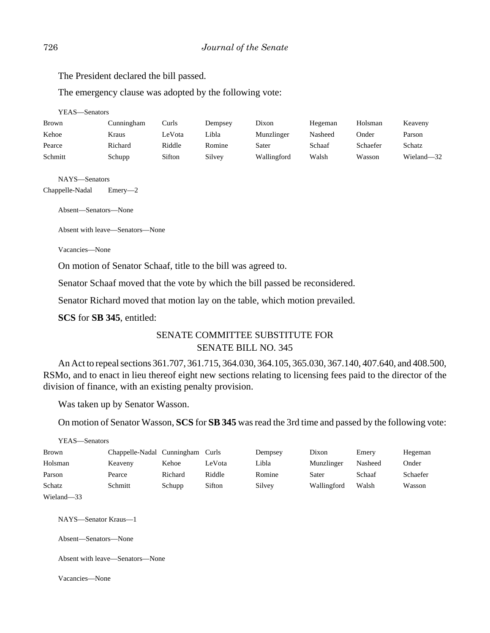The President declared the bill passed.

The emergency clause was adopted by the following vote:

YEAS—Senators

| <b>Brown</b> | Cunningham | Curls  | Dempsev | Dixon       | Hegeman | Holsman  | Keaveny    |
|--------------|------------|--------|---------|-------------|---------|----------|------------|
| Kehoe        | Kraus      | LeVota | ∟ibla   | Munzlinger  | Nasheed | Onder    | Parson     |
| Pearce       | Richard    | Riddle | Romine  | Sater       | Schaaf  | Schaefer | Schatz     |
| Schmitt      | Schupp     | Sifton | Silvey  | Wallingford | Walsh   | Wasson   | Wieland-32 |

NAYS—Senators

Chappelle-Nadal Emery—2

Absent—Senators—None

Absent with leave—Senators—None

Vacancies—None

On motion of Senator Schaaf, title to the bill was agreed to.

Senator Schaaf moved that the vote by which the bill passed be reconsidered.

Senator Richard moved that motion lay on the table, which motion prevailed.

**SCS** for **SB 345**, entitled:

# SENATE COMMITTEE SUBSTITUTE FOR SENATE BILL NO. 345

An Act to repeal sections 361.707, 361.715, 364.030, 364.105, 365.030, 367.140, 407.640, and 408.500, RSMo, and to enact in lieu thereof eight new sections relating to licensing fees paid to the director of the division of finance, with an existing penalty provision.

Was taken up by Senator Wasson.

On motion of Senator Wasson, **SCS** for **SB 345** was read the 3rd time and passed by the following vote:

| YEAS—Senators |                            |         |        |         |             |         |          |
|---------------|----------------------------|---------|--------|---------|-------------|---------|----------|
| Brown         | Chappelle-Nadal Cunningham |         | Curls  | Dempsey | Dixon       | Emery   | Hegeman  |
| Holsman       | Keaveny                    | Kehoe   | LeVota | Libla   | Munzlinger  | Nasheed | Onder    |
| Parson        | Pearce                     | Richard | Riddle | Romine  | Sater       | Schaaf  | Schaefer |
| Schatz        | Schmitt                    | Schupp  | Sifton | Silvey  | Wallingford | Walsh   | Wasson   |
| Wieland-33    |                            |         |        |         |             |         |          |

NAYS—Senator Kraus—1

Absent—Senators—None

Absent with leave—Senators—None

Vacancies—None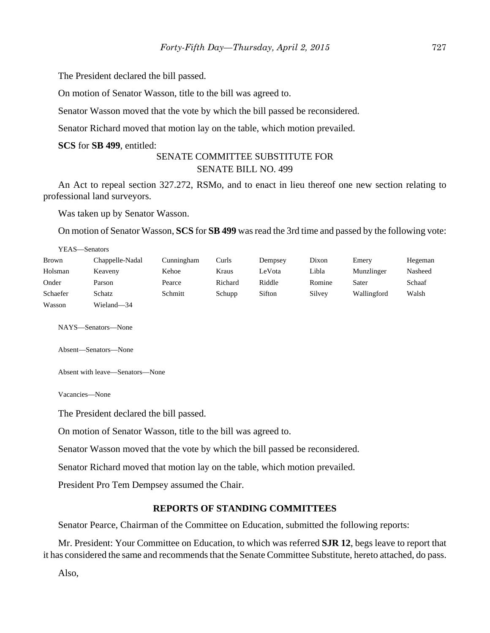The President declared the bill passed.

On motion of Senator Wasson, title to the bill was agreed to.

Senator Wasson moved that the vote by which the bill passed be reconsidered.

Senator Richard moved that motion lay on the table, which motion prevailed.

**SCS** for **SB 499**, entitled:

# SENATE COMMITTEE SUBSTITUTE FOR SENATE BILL NO. 499

An Act to repeal section 327.272, RSMo, and to enact in lieu thereof one new section relating to professional land surveyors.

Was taken up by Senator Wasson.

On motion of Senator Wasson, **SCS** for **SB 499** was read the 3rd time and passed by the following vote:

| YEAS—Senators |                 |            |         |         |        |             |         |
|---------------|-----------------|------------|---------|---------|--------|-------------|---------|
| Brown         | Chappelle-Nadal | Cunningham | Curls   | Dempsey | Dixon  | Emery       | Hegeman |
| Holsman       | Keaveny         | Kehoe      | Kraus   | LeVota  | Libla  | Munzlinger  | Nasheed |
| Onder         | Parson          | Pearce     | Richard | Riddle  | Romine | Sater       | Schaaf  |
| Schaefer      | Schatz          | Schmitt    | Schupp  | Sifton  | Silvey | Wallingford | Walsh   |
| Wasson        | Wieland-34      |            |         |         |        |             |         |

NAYS—Senators—None

Absent—Senators—None

Absent with leave—Senators—None

Vacancies—None

The President declared the bill passed.

On motion of Senator Wasson, title to the bill was agreed to.

Senator Wasson moved that the vote by which the bill passed be reconsidered.

Senator Richard moved that motion lay on the table, which motion prevailed.

President Pro Tem Dempsey assumed the Chair.

#### **REPORTS OF STANDING COMMITTEES**

Senator Pearce, Chairman of the Committee on Education, submitted the following reports:

Mr. President: Your Committee on Education, to which was referred **SJR 12**, begs leave to report that it has considered the same and recommends that the Senate Committee Substitute, hereto attached, do pass.

Also,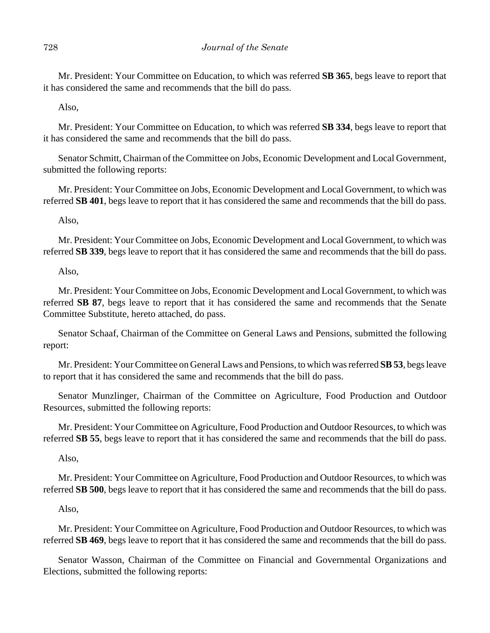Mr. President: Your Committee on Education, to which was referred **SB 365**, begs leave to report that it has considered the same and recommends that the bill do pass.

Also,

Mr. President: Your Committee on Education, to which was referred **SB 334**, begs leave to report that it has considered the same and recommends that the bill do pass.

Senator Schmitt, Chairman of the Committee on Jobs, Economic Development and Local Government, submitted the following reports:

Mr. President: Your Committee on Jobs, Economic Development and Local Government, to which was referred **SB 401**, begs leave to report that it has considered the same and recommends that the bill do pass.

Also,

Mr. President: Your Committee on Jobs, Economic Development and Local Government, to which was referred **SB 339**, begs leave to report that it has considered the same and recommends that the bill do pass.

Also,

Mr. President: Your Committee on Jobs, Economic Development and Local Government, to which was referred **SB 87**, begs leave to report that it has considered the same and recommends that the Senate Committee Substitute, hereto attached, do pass.

Senator Schaaf, Chairman of the Committee on General Laws and Pensions, submitted the following report:

Mr. President: Your Committee on General Laws and Pensions, to which was referred **SB 53**, begs leave to report that it has considered the same and recommends that the bill do pass.

Senator Munzlinger, Chairman of the Committee on Agriculture, Food Production and Outdoor Resources, submitted the following reports:

Mr. President: Your Committee on Agriculture, Food Production and Outdoor Resources, to which was referred **SB 55**, begs leave to report that it has considered the same and recommends that the bill do pass.

Also,

Mr. President: Your Committee on Agriculture, Food Production and Outdoor Resources, to which was referred **SB 500**, begs leave to report that it has considered the same and recommends that the bill do pass.

Also,

Mr. President: Your Committee on Agriculture, Food Production and Outdoor Resources, to which was referred **SB 469**, begs leave to report that it has considered the same and recommends that the bill do pass.

Senator Wasson, Chairman of the Committee on Financial and Governmental Organizations and Elections, submitted the following reports: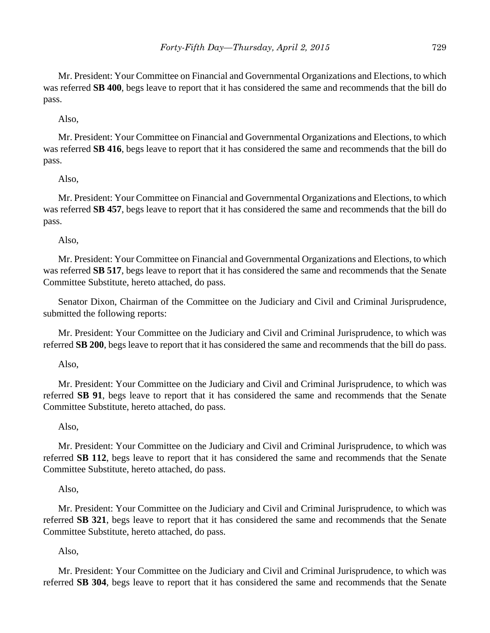Mr. President: Your Committee on Financial and Governmental Organizations and Elections, to which was referred **SB 400**, begs leave to report that it has considered the same and recommends that the bill do pass.

Also,

Mr. President: Your Committee on Financial and Governmental Organizations and Elections, to which was referred **SB 416**, begs leave to report that it has considered the same and recommends that the bill do pass.

# Also,

Mr. President: Your Committee on Financial and Governmental Organizations and Elections, to which was referred **SB 457**, begs leave to report that it has considered the same and recommends that the bill do pass.

Also,

Mr. President: Your Committee on Financial and Governmental Organizations and Elections, to which was referred **SB 517**, begs leave to report that it has considered the same and recommends that the Senate Committee Substitute, hereto attached, do pass.

Senator Dixon, Chairman of the Committee on the Judiciary and Civil and Criminal Jurisprudence, submitted the following reports:

Mr. President: Your Committee on the Judiciary and Civil and Criminal Jurisprudence, to which was referred **SB 200**, begs leave to report that it has considered the same and recommends that the bill do pass.

Also,

Mr. President: Your Committee on the Judiciary and Civil and Criminal Jurisprudence, to which was referred **SB 91**, begs leave to report that it has considered the same and recommends that the Senate Committee Substitute, hereto attached, do pass.

Also,

Mr. President: Your Committee on the Judiciary and Civil and Criminal Jurisprudence, to which was referred **SB 112**, begs leave to report that it has considered the same and recommends that the Senate Committee Substitute, hereto attached, do pass.

Also,

Mr. President: Your Committee on the Judiciary and Civil and Criminal Jurisprudence, to which was referred **SB 321**, begs leave to report that it has considered the same and recommends that the Senate Committee Substitute, hereto attached, do pass.

Also,

Mr. President: Your Committee on the Judiciary and Civil and Criminal Jurisprudence, to which was referred **SB 304**, begs leave to report that it has considered the same and recommends that the Senate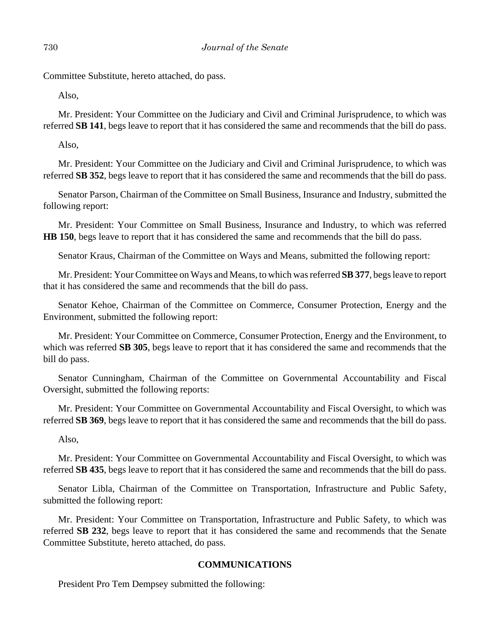Committee Substitute, hereto attached, do pass.

Also,

Mr. President: Your Committee on the Judiciary and Civil and Criminal Jurisprudence, to which was referred **SB 141**, begs leave to report that it has considered the same and recommends that the bill do pass.

Also,

Mr. President: Your Committee on the Judiciary and Civil and Criminal Jurisprudence, to which was referred **SB 352**, begs leave to report that it has considered the same and recommends that the bill do pass.

Senator Parson, Chairman of the Committee on Small Business, Insurance and Industry, submitted the following report:

Mr. President: Your Committee on Small Business, Insurance and Industry, to which was referred **HB 150**, begs leave to report that it has considered the same and recommends that the bill do pass.

Senator Kraus, Chairman of the Committee on Ways and Means, submitted the following report:

Mr. President: Your Committee on Ways and Means, to which was referred **SB 377**, begs leave to report that it has considered the same and recommends that the bill do pass.

Senator Kehoe, Chairman of the Committee on Commerce, Consumer Protection, Energy and the Environment, submitted the following report:

Mr. President: Your Committee on Commerce, Consumer Protection, Energy and the Environment, to which was referred **SB 305**, begs leave to report that it has considered the same and recommends that the bill do pass.

Senator Cunningham, Chairman of the Committee on Governmental Accountability and Fiscal Oversight, submitted the following reports:

Mr. President: Your Committee on Governmental Accountability and Fiscal Oversight, to which was referred **SB 369**, begs leave to report that it has considered the same and recommends that the bill do pass.

Also,

Mr. President: Your Committee on Governmental Accountability and Fiscal Oversight, to which was referred **SB 435**, begs leave to report that it has considered the same and recommends that the bill do pass.

Senator Libla, Chairman of the Committee on Transportation, Infrastructure and Public Safety, submitted the following report:

Mr. President: Your Committee on Transportation, Infrastructure and Public Safety, to which was referred **SB 232**, begs leave to report that it has considered the same and recommends that the Senate Committee Substitute, hereto attached, do pass.

# **COMMUNICATIONS**

President Pro Tem Dempsey submitted the following: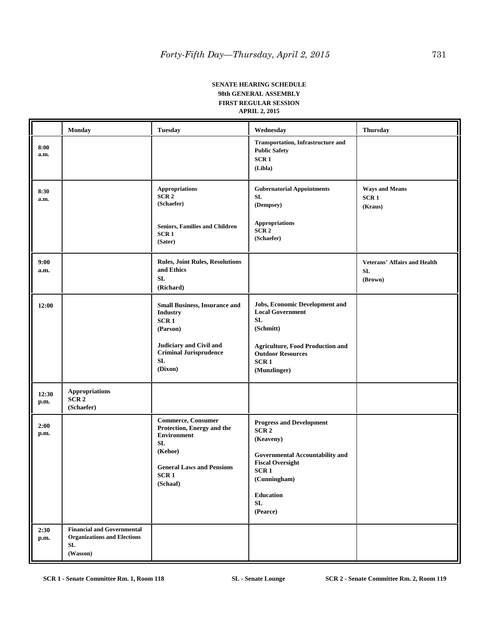#### **SENATE HEARING SCHEDULE 98th GENERAL ASSEMBLY FIRST REGULAR SESSION APRIL 2, 2015**

|               | <b>Monday</b>                                                                             | <b>Tuesday</b>                                                                                                                                                               | Wednesday                                                                                                                                                                                                               | <b>Thursday</b>                                      |
|---------------|-------------------------------------------------------------------------------------------|------------------------------------------------------------------------------------------------------------------------------------------------------------------------------|-------------------------------------------------------------------------------------------------------------------------------------------------------------------------------------------------------------------------|------------------------------------------------------|
| 8:00<br>a.m.  |                                                                                           |                                                                                                                                                                              | <b>Transportation, Infrastructure and</b><br><b>Public Safety</b><br>SCR <sub>1</sub><br>(Libla)                                                                                                                        |                                                      |
| 8:30<br>a.m.  |                                                                                           | Appropriations<br>SCR <sub>2</sub><br>(Schaefer)<br><b>Seniors, Families and Children</b><br>SCR <sub>1</sub><br>(Sater)                                                     | <b>Gubernatorial Appointments</b><br>${\bf SL}$<br>(Dempsey)<br><b>Appropriations</b><br>SCR2<br>(Schaefer)                                                                                                             | <b>Ways and Means</b><br>SCR <sub>1</sub><br>(Kraus) |
| 9:00<br>a.m.  |                                                                                           | <b>Rules, Joint Rules, Resolutions</b><br>and Ethics<br>${\bf SL}$<br>(Richard)                                                                                              |                                                                                                                                                                                                                         | <b>Veterans' Affairs and Health</b><br>SL<br>(Brown) |
| 12:00         |                                                                                           | <b>Small Business, Insurance and</b><br><b>Industry</b><br>SCR <sub>1</sub><br>(Parson)<br>Judiciary and Civil and<br><b>Criminal Jurisprudence</b><br>${\bf SL}$<br>(Dixon) | Jobs, Economic Development and<br><b>Local Government</b><br>SL<br>(Schmitt)<br><b>Agriculture, Food Production and</b><br><b>Outdoor Resources</b><br>SCR <sub>1</sub><br>(Munzlinger)                                 |                                                      |
| 12:30<br>p.m. | <b>Appropriations</b><br>SCR <sub>2</sub><br>(Schaefer)                                   |                                                                                                                                                                              |                                                                                                                                                                                                                         |                                                      |
| 2:00<br>p.m.  |                                                                                           | Commerce, Consumer<br>Protection, Energy and the<br><b>Environment</b><br>SL<br>(Kehoe)<br><b>General Laws and Pensions</b><br>SCR <sub>1</sub><br>(Schaaf)                  | <b>Progress and Development</b><br>SCR <sub>2</sub><br>(Keaveny)<br><b>Governmental Accountability and</b><br><b>Fiscal Oversight</b><br>SCR <sub>1</sub><br>(Cunningham)<br><b>Education</b><br>${\bf SL}$<br>(Pearce) |                                                      |
| 2:30<br>p.m.  | <b>Financial and Governmental</b><br><b>Organizations and Elections</b><br>SL<br>(Wasson) |                                                                                                                                                                              |                                                                                                                                                                                                                         |                                                      |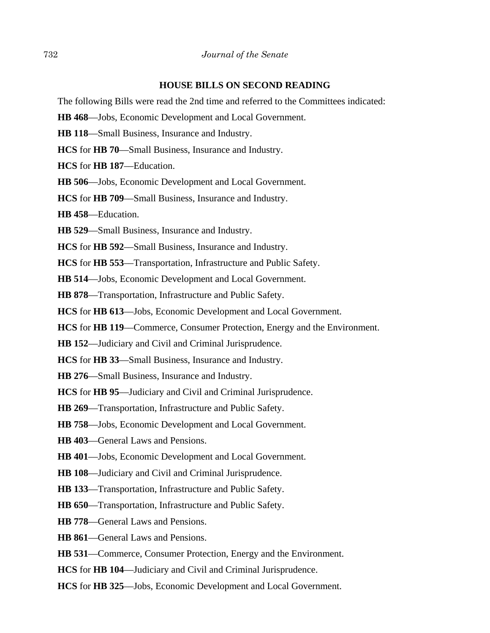## **HOUSE BILLS ON SECOND READING**

The following Bills were read the 2nd time and referred to the Committees indicated:

**HB 468**––Jobs, Economic Development and Local Government.

**HB 118**––Small Business, Insurance and Industry.

**HCS** for **HB 70**––Small Business, Insurance and Industry.

**HCS** for **HB 187**––Education.

**HB 506**––Jobs, Economic Development and Local Government.

**HCS** for **HB 709**––Small Business, Insurance and Industry.

**HB 458**––Education.

**HB 529**––Small Business, Insurance and Industry.

**HCS** for **HB 592**––Small Business, Insurance and Industry.

**HCS** for **HB 553**––Transportation, Infrastructure and Public Safety.

**HB 514**––Jobs, Economic Development and Local Government.

**HB 878**––Transportation, Infrastructure and Public Safety.

**HCS** for **HB 613**––Jobs, Economic Development and Local Government.

**HCS** for **HB 119**––Commerce, Consumer Protection, Energy and the Environment.

**HB 152**––Judiciary and Civil and Criminal Jurisprudence.

**HCS** for **HB 33**––Small Business, Insurance and Industry.

- **HB 276**––Small Business, Insurance and Industry.
- **HCS** for **HB 95**––Judiciary and Civil and Criminal Jurisprudence.
- **HB 269**––Transportation, Infrastructure and Public Safety.
- **HB 758**––Jobs, Economic Development and Local Government.
- **HB 403**––General Laws and Pensions.
- **HB 401**––Jobs, Economic Development and Local Government.
- **HB 108**––Judiciary and Civil and Criminal Jurisprudence.
- **HB 133**––Transportation, Infrastructure and Public Safety.
- **HB 650**––Transportation, Infrastructure and Public Safety.
- **HB 778**––General Laws and Pensions.
- **HB 861**––General Laws and Pensions.
- **HB 531**––Commerce, Consumer Protection, Energy and the Environment.
- **HCS** for **HB 104**—Judiciary and Civil and Criminal Jurisprudence.
- **HCS** for **HB 325**––Jobs, Economic Development and Local Government.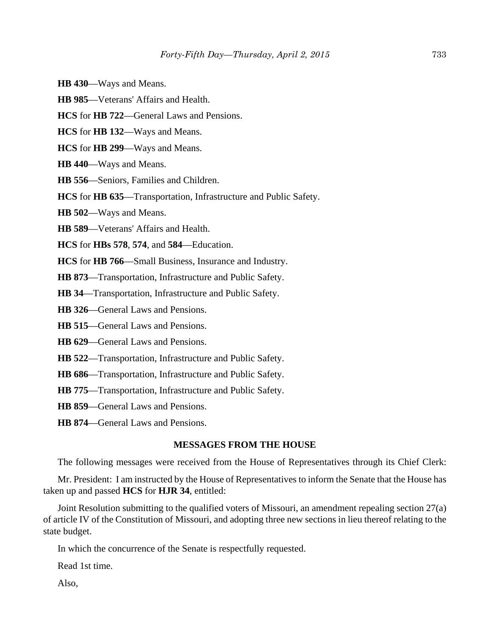- **HB 430**––Ways and Means.
- **HB 985**––Veterans' Affairs and Health.
- **HCS** for **HB 722**––General Laws and Pensions.
- **HCS** for **HB 132**––Ways and Means.
- **HCS** for **HB 299**––Ways and Means.
- **HB 440**––Ways and Means.
- **HB 556**––Seniors, Families and Children.
- **HCS** for **HB 635**––Transportation, Infrastructure and Public Safety.
- **HB 502**––Ways and Means.
- **HB 589**––Veterans' Affairs and Health.
- **HCS** for **HBs 578**, **574**, and **584**––Education.
- **HCS** for **HB 766**––Small Business, Insurance and Industry.
- **HB 873**––Transportation, Infrastructure and Public Safety.
- **HB 34**––Transportation, Infrastructure and Public Safety.
- **HB 326**––General Laws and Pensions.
- **HB 515**––General Laws and Pensions.
- **HB 629**––General Laws and Pensions.
- **HB 522**––Transportation, Infrastructure and Public Safety.
- **HB 686**––Transportation, Infrastructure and Public Safety.
- **HB 775**––Transportation, Infrastructure and Public Safety.
- **HB 859**––General Laws and Pensions.
- **HB 874**––General Laws and Pensions.

## **MESSAGES FROM THE HOUSE**

The following messages were received from the House of Representatives through its Chief Clerk:

Mr. President: I am instructed by the House of Representatives to inform the Senate that the House has taken up and passed **HCS** for **HJR 34**, entitled:

Joint Resolution submitting to the qualified voters of Missouri, an amendment repealing section 27(a) of article IV of the Constitution of Missouri, and adopting three new sections in lieu thereof relating to the state budget.

In which the concurrence of the Senate is respectfully requested.

Read 1st time.

Also,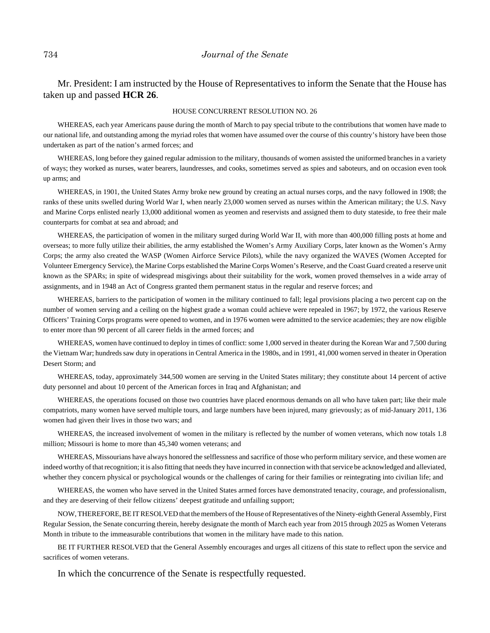# Mr. President: I am instructed by the House of Representatives to inform the Senate that the House has taken up and passed **HCR 26**.

#### HOUSE CONCURRENT RESOLUTION NO. 26

WHEREAS, each year Americans pause during the month of March to pay special tribute to the contributions that women have made to our national life, and outstanding among the myriad roles that women have assumed over the course of this country's history have been those undertaken as part of the nation's armed forces; and

WHEREAS, long before they gained regular admission to the military, thousands of women assisted the uniformed branches in a variety of ways; they worked as nurses, water bearers, laundresses, and cooks, sometimes served as spies and saboteurs, and on occasion even took up arms; and

WHEREAS, in 1901, the United States Army broke new ground by creating an actual nurses corps, and the navy followed in 1908; the ranks of these units swelled during World War I, when nearly 23,000 women served as nurses within the American military; the U.S. Navy and Marine Corps enlisted nearly 13,000 additional women as yeomen and reservists and assigned them to duty stateside, to free their male counterparts for combat at sea and abroad; and

WHEREAS, the participation of women in the military surged during World War II, with more than 400,000 filling posts at home and overseas; to more fully utilize their abilities, the army established the Women's Army Auxiliary Corps, later known as the Women's Army Corps; the army also created the WASP (Women Airforce Service Pilots), while the navy organized the WAVES (Women Accepted for Volunteer Emergency Service), the Marine Corps established the Marine Corps Women's Reserve, and the Coast Guard created a reserve unit known as the SPARs; in spite of widespread misgivings about their suitability for the work, women proved themselves in a wide array of assignments, and in 1948 an Act of Congress granted them permanent status in the regular and reserve forces; and

WHEREAS, barriers to the participation of women in the military continued to fall; legal provisions placing a two percent cap on the number of women serving and a ceiling on the highest grade a woman could achieve were repealed in 1967; by 1972, the various Reserve Officers' Training Corps programs were opened to women, and in 1976 women were admitted to the service academies; they are now eligible to enter more than 90 percent of all career fields in the armed forces; and

WHEREAS, women have continued to deploy in times of conflict: some 1,000 served in theater during the Korean War and 7,500 during the Vietnam War; hundreds saw duty in operations in Central America in the 1980s, and in 1991, 41,000 women served in theater in Operation Desert Storm; and

WHEREAS, today, approximately 344,500 women are serving in the United States military; they constitute about 14 percent of active duty personnel and about 10 percent of the American forces in Iraq and Afghanistan; and

WHEREAS, the operations focused on those two countries have placed enormous demands on all who have taken part; like their male compatriots, many women have served multiple tours, and large numbers have been injured, many grievously; as of mid-January 2011, 136 women had given their lives in those two wars; and

WHEREAS, the increased involvement of women in the military is reflected by the number of women veterans, which now totals 1.8 million; Missouri is home to more than 45,340 women veterans; and

WHEREAS, Missourians have always honored the selflessness and sacrifice of those who perform military service, and these women are indeed worthy of that recognition; it is also fitting that needs they have incurred in connection with that service be acknowledged and alleviated, whether they concern physical or psychological wounds or the challenges of caring for their families or reintegrating into civilian life; and

WHEREAS, the women who have served in the United States armed forces have demonstrated tenacity, courage, and professionalism, and they are deserving of their fellow citizens' deepest gratitude and unfailing support;

NOW, THEREFORE, BE IT RESOLVED that the members of the House of Representatives of the Ninety-eighth General Assembly, First Regular Session, the Senate concurring therein, hereby designate the month of March each year from 2015 through 2025 as Women Veterans Month in tribute to the immeasurable contributions that women in the military have made to this nation.

BE IT FURTHER RESOLVED that the General Assembly encourages and urges all citizens of this state to reflect upon the service and sacrifices of women veterans.

In which the concurrence of the Senate is respectfully requested.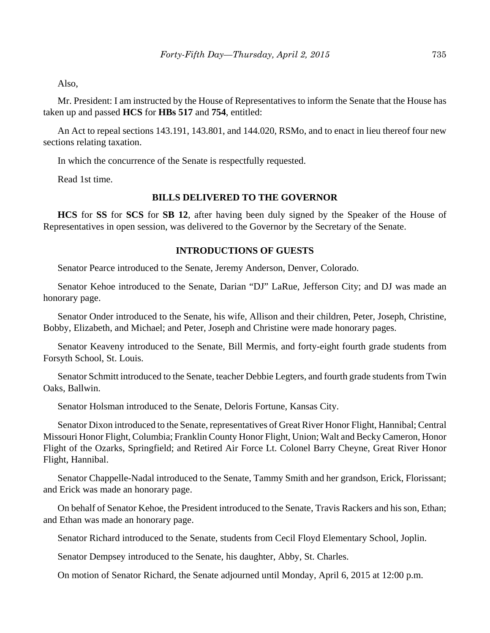Also,

Mr. President: I am instructed by the House of Representatives to inform the Senate that the House has taken up and passed **HCS** for **HBs 517** and **754**, entitled:

An Act to repeal sections 143.191, 143.801, and 144.020, RSMo, and to enact in lieu thereof four new sections relating taxation.

In which the concurrence of the Senate is respectfully requested.

Read 1st time.

# **BILLS DELIVERED TO THE GOVERNOR**

**HCS** for **SS** for **SCS** for **SB 12**, after having been duly signed by the Speaker of the House of Representatives in open session, was delivered to the Governor by the Secretary of the Senate.

## **INTRODUCTIONS OF GUESTS**

Senator Pearce introduced to the Senate, Jeremy Anderson, Denver, Colorado.

Senator Kehoe introduced to the Senate, Darian "DJ" LaRue, Jefferson City; and DJ was made an honorary page.

Senator Onder introduced to the Senate, his wife, Allison and their children, Peter, Joseph, Christine, Bobby, Elizabeth, and Michael; and Peter, Joseph and Christine were made honorary pages.

Senator Keaveny introduced to the Senate, Bill Mermis, and forty-eight fourth grade students from Forsyth School, St. Louis.

Senator Schmitt introduced to the Senate, teacher Debbie Legters, and fourth grade students from Twin Oaks, Ballwin.

Senator Holsman introduced to the Senate, Deloris Fortune, Kansas City.

Senator Dixon introduced to the Senate, representatives of Great River Honor Flight, Hannibal; Central Missouri Honor Flight, Columbia; Franklin County Honor Flight, Union; Walt and Becky Cameron, Honor Flight of the Ozarks, Springfield; and Retired Air Force Lt. Colonel Barry Cheyne, Great River Honor Flight, Hannibal.

Senator Chappelle-Nadal introduced to the Senate, Tammy Smith and her grandson, Erick, Florissant; and Erick was made an honorary page.

On behalf of Senator Kehoe, the President introduced to the Senate, Travis Rackers and his son, Ethan; and Ethan was made an honorary page.

Senator Richard introduced to the Senate, students from Cecil Floyd Elementary School, Joplin.

Senator Dempsey introduced to the Senate, his daughter, Abby, St. Charles.

On motion of Senator Richard, the Senate adjourned until Monday, April 6, 2015 at 12:00 p.m.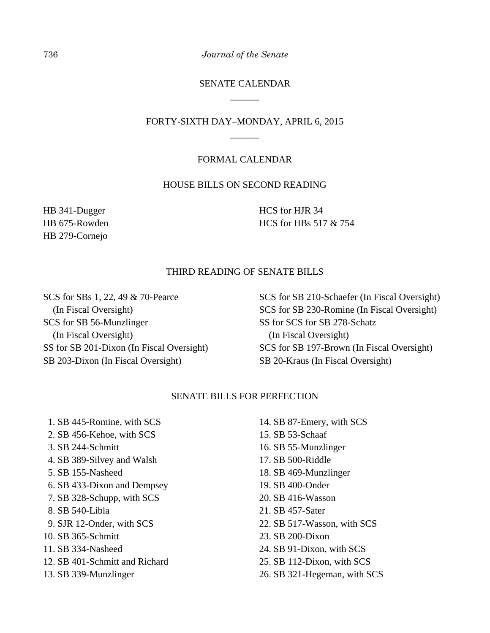# SENATE CALENDAR \_\_\_\_\_\_

# FORTY-SIXTH DAY–MONDAY, APRIL 6, 2015 \_\_\_\_\_\_

## FORMAL CALENDAR

# HOUSE BILLS ON SECOND READING

HB 341-Dugger HB 675-Rowden HB 279-Cornejo

HCS for HJR 34 HCS for HBs 517 & 754

## THIRD READING OF SENATE BILLS

SCS for SBs 1, 22, 49 & 70-Pearce (In Fiscal Oversight) SCS for SB 56-Munzlinger (In Fiscal Oversight) SS for SB 201-Dixon (In Fiscal Oversight) SB 203-Dixon (In Fiscal Oversight)

SCS for SB 210-Schaefer (In Fiscal Oversight) SCS for SB 230-Romine (In Fiscal Oversight) SS for SCS for SB 278-Schatz (In Fiscal Oversight) SCS for SB 197-Brown (In Fiscal Oversight) SB 20-Kraus (In Fiscal Oversight)

#### SENATE BILLS FOR PERFECTION

 1. SB 445-Romine, with SCS 2. SB 456-Kehoe, with SCS 3. SB 244-Schmitt 4. SB 389-Silvey and Walsh 5. SB 155-Nasheed 6. SB 433-Dixon and Dempsey 7. SB 328-Schupp, with SCS 8. SB 540-Libla 9. SJR 12-Onder, with SCS 10. SB 365-Schmitt 11. SB 334-Nasheed 12. SB 401-Schmitt and Richard 13. SB 339-Munzlinger

- 14. SB 87-Emery, with SCS
- 15. SB 53-Schaaf
- 16. SB 55-Munzlinger
- 17. SB 500-Riddle
- 18. SB 469-Munzlinger
- 19. SB 400-Onder
- 20. SB 416-Wasson
- 21. SB 457-Sater
- 22. SB 517-Wasson, with SCS
- 23. SB 200-Dixon
- 24. SB 91-Dixon, with SCS
- 25. SB 112-Dixon, with SCS
- 26. SB 321-Hegeman, with SCS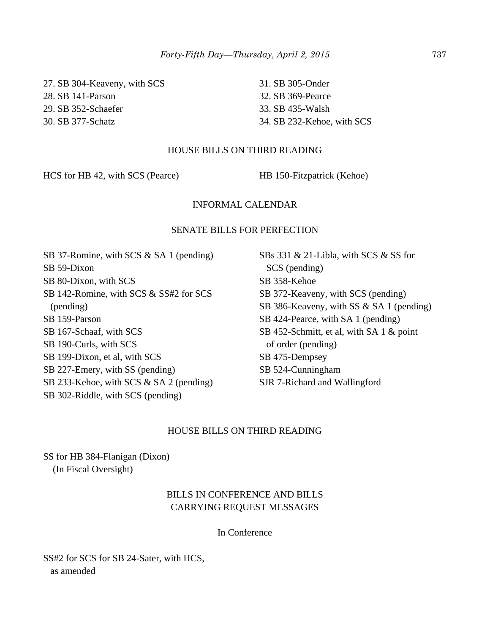27. SB 304-Keaveny, with SCS 28. SB 141-Parson 29. SB 352-Schaefer 30. SB 377-Schatz

31. SB 305-Onder 32. SB 369-Pearce 33. SB 435-Walsh 34. SB 232-Kehoe, with SCS

## HOUSE BILLS ON THIRD READING

HCS for HB 42, with SCS (Pearce) HB 150-Fitzpatrick (Kehoe)

## INFORMAL CALENDAR

# SENATE BILLS FOR PERFECTION

SB 37-Romine, with SCS & SA 1 (pending) SB 59-Dixon SB 80-Dixon, with SCS SB 142-Romine, with SCS & SS#2 for SCS (pending) SB 159-Parson SB 167-Schaaf, with SCS SB 190-Curls, with SCS SB 199-Dixon, et al, with SCS SB 227-Emery, with SS (pending) SB 233-Kehoe, with SCS & SA 2 (pending) SB 302-Riddle, with SCS (pending)

SBs 331 & 21-Libla, with SCS & SS for SCS (pending) SB 358-Kehoe SB 372-Keaveny, with SCS (pending) SB 386-Keaveny, with SS & SA 1 (pending) SB 424-Pearce, with SA 1 (pending) SB 452-Schmitt, et al, with SA 1 & point of order (pending) SB 475-Dempsey SB 524-Cunningham SJR 7-Richard and Wallingford

## HOUSE BILLS ON THIRD READING

SS for HB 384-Flanigan (Dixon) (In Fiscal Oversight)

# BILLS IN CONFERENCE AND BILLS CARRYING REQUEST MESSAGES

In Conference

SS#2 for SCS for SB 24-Sater, with HCS, as amended